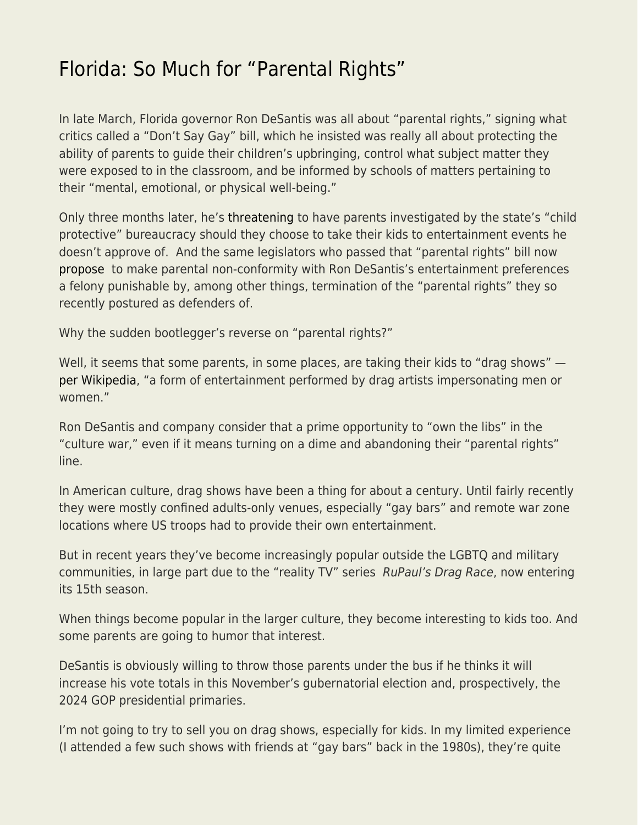## [Florida: So Much for "Parental Rights"](https://everything-voluntary.com/florida-so-much-for-parental-rights)

In late March, Florida governor Ron DeSantis was all about "parental rights," signing what critics called a "Don't Say Gay" bill, which he insisted was really all about protecting the ability of parents to guide their children's upbringing, control what subject matter they were exposed to in the classroom, and be informed by schools of matters pertaining to their "mental, emotional, or physical well-being."

Only three months later, he's [threatening](https://www.nbcnews.com/nbc-out/out-politics-and-policy/desantis-weighs-ordering-child-protective-services-parents-take-kids-d-rcna32757) to have parents investigated by the state's "child protective" bureaucracy should they choose to take their kids to entertainment events he doesn't approve of. And the same legislators who passed that "parental rights" bill now [propose](https://www.wfla.com/news/florida/bringing-kids-to-drag-shows-could-become-felony-in-florida/) to make parental non-conformity with Ron DeSantis's entertainment preferences a felony punishable by, among other things, termination of the "parental rights" they so recently postured as defenders of.

Why the sudden bootlegger's reverse on "parental rights?"

Well, it seems that some parents, in some places, are taking their kids to "drag shows" [per Wikipedia,](https://en.wikipedia.org/wiki/Drag_show) "a form of entertainment performed by drag artists impersonating men or women."

Ron DeSantis and company consider that a prime opportunity to "own the libs" in the "culture war," even if it means turning on a dime and abandoning their "parental rights" line.

In American culture, drag shows have been a thing for about a century. Until fairly recently they were mostly confined adults-only venues, especially "gay bars" and remote war zone locations where US troops had to provide their own entertainment.

But in recent years they've become increasingly popular outside the LGBTQ and military communities, in large part due to the "reality TV" series RuPaul's Drag Race, now entering its 15th season.

When things become popular in the larger culture, they become interesting to kids too. And some parents are going to humor that interest.

DeSantis is obviously willing to throw those parents under the bus if he thinks it will increase his vote totals in this November's gubernatorial election and, prospectively, the 2024 GOP presidential primaries.

I'm not going to try to sell you on drag shows, especially for kids. In my limited experience (I attended a few such shows with friends at "gay bars" back in the 1980s), they're quite